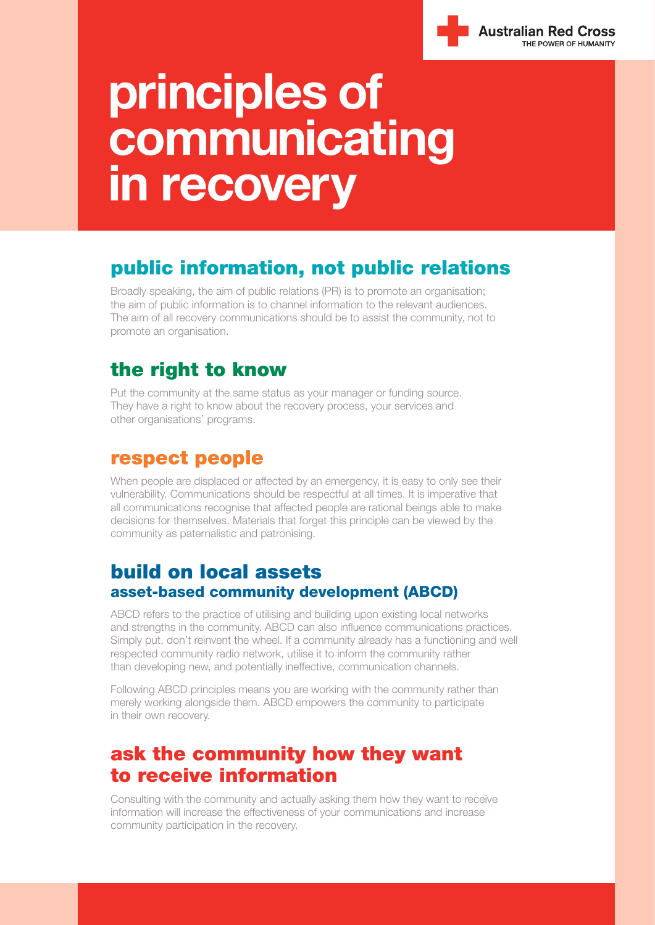

# **principles of communicating in recovery**

# **public information, not public relations**

Broadly speaking, the aim of public relations (PR) is to promote an organisation; the aim of public information is to channel information to the relevant audiences. The aim of all recovery communications should be to assist the community, not to promote an organisation.

# **the right to know**

Put the community at the same status as your manager or funding source. They have a right to know about the recovery process, your services and other organisations' programs.

### **respect people**

When people are displaced or affected by an emergency, it is easy to only see their vulnerability. Communications should be respectful at all times. It is imperative that all communications recognise that affected people are rational beings able to make decisions for themselves. Materials that forget this principle can be viewed by the community as paternalistic and patronising.

#### **build on local assets asset-based community development (ABCD)**

ABCD refers to the practice of utilising and building upon existing local networks and strengths in the community. ABCD can also influence communications practices. Simply put, don't reinvent the wheel. If a community already has a functioning and well respected community radio network, utilise it to inform the community rather than developing new, and potentially ineffective, communication channels.

Following ABCD principles means you are working with the community rather than merely working alongside them. ABCD empowers the community to participate in their own recovery.

### **ask the community how they want to receive information**

Consulting with the community and actually asking them how they want to receive information will increase the effectiveness of your communications and increase community participation in the recovery.